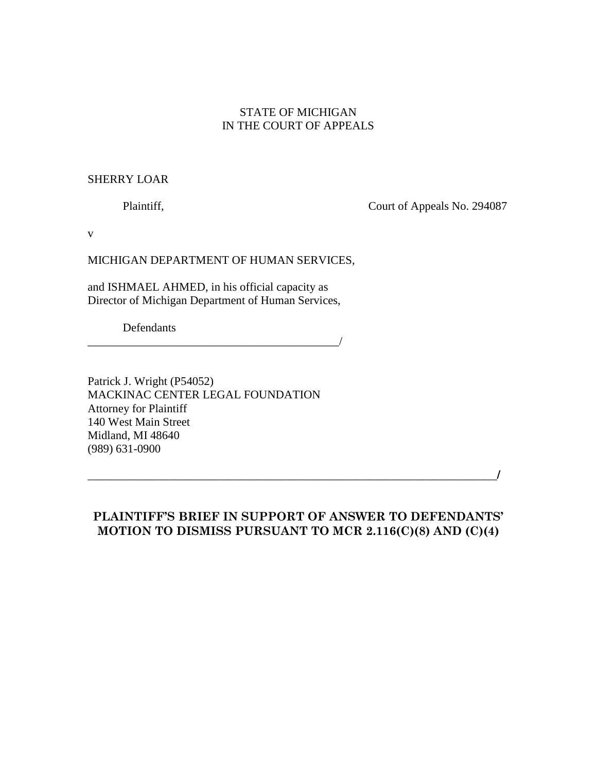## STATE OF MICHIGAN IN THE COURT OF APPEALS

## SHERRY LOAR

Plaintiff, Court of Appeals No. 294087

v

### MICHIGAN DEPARTMENT OF HUMAN SERVICES,

and ISHMAEL AHMED, in his official capacity as Director of Michigan Department of Human Services,

\_\_\_\_\_\_\_\_\_\_\_\_\_\_\_\_\_\_\_\_\_\_\_\_\_\_\_\_\_\_\_\_\_\_\_\_\_\_\_\_\_\_\_/

Defendants

Patrick J. Wright (P54052) MACKINAC CENTER LEGAL FOUNDATION Attorney for Plaintiff 140 West Main Street Midland, MI 48640 (989) 631-0900

\_\_\_\_\_\_\_\_\_\_\_\_\_\_\_\_\_\_\_\_\_\_\_\_\_\_\_\_\_\_\_\_\_\_\_\_\_\_\_\_\_\_\_\_\_\_\_\_\_\_\_\_\_\_\_\_\_\_\_\_\_\_\_\_\_\_\_\_\_\_/

# PLAINTIFF'S BRIEF IN SUPPORT OF ANSWER TO DEFENDANTS' MOTION TO DISMISS PURSUANT TO MCR 2.116(C)(8) AND (C)(4)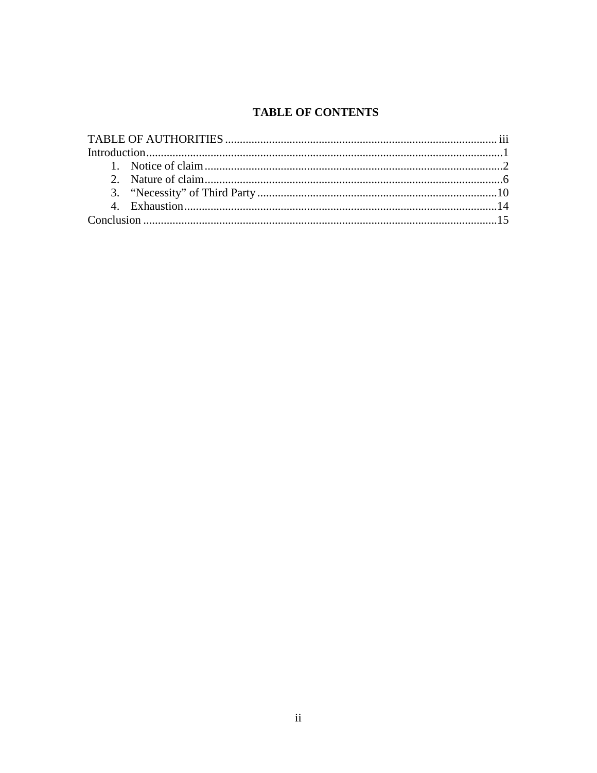# **TABLE OF CONTENTS**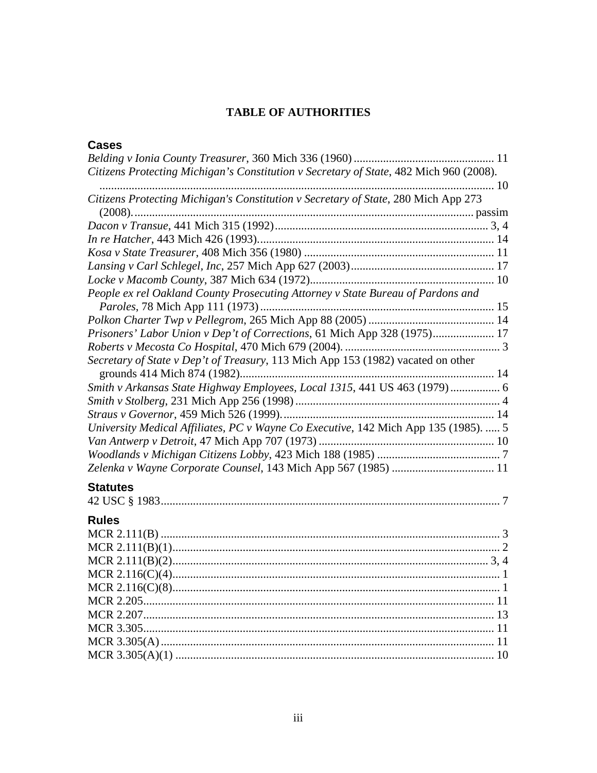## **TABLE OF AUTHORITIES**

## **Cases**

| Citizens Protecting Michigan's Constitution v Secretary of State, 482 Mich 960 (2008). |
|----------------------------------------------------------------------------------------|
|                                                                                        |
| Citizens Protecting Michigan's Constitution v Secretary of State, 280 Mich App 273     |
|                                                                                        |
|                                                                                        |
|                                                                                        |
|                                                                                        |
|                                                                                        |
| People ex rel Oakland County Prosecuting Attorney v State Bureau of Pardons and        |
|                                                                                        |
|                                                                                        |
| Prisoners' Labor Union v Dep't of Corrections, 61 Mich App 328 (1975) 17               |
|                                                                                        |
| Secretary of State v Dep't of Treasury, 113 Mich App 153 (1982) vacated on other       |
| Smith v Arkansas State Highway Employees, Local 1315, 441 US 463 (1979)  6             |
|                                                                                        |
|                                                                                        |
| University Medical Affiliates, PC v Wayne Co Executive, 142 Mich App 135 (1985).  5    |
|                                                                                        |
|                                                                                        |
|                                                                                        |
|                                                                                        |
| <b>Statutes</b>                                                                        |
|                                                                                        |
| <b>Rules</b>                                                                           |
|                                                                                        |
|                                                                                        |
|                                                                                        |
|                                                                                        |
|                                                                                        |
|                                                                                        |
|                                                                                        |
|                                                                                        |
|                                                                                        |
|                                                                                        |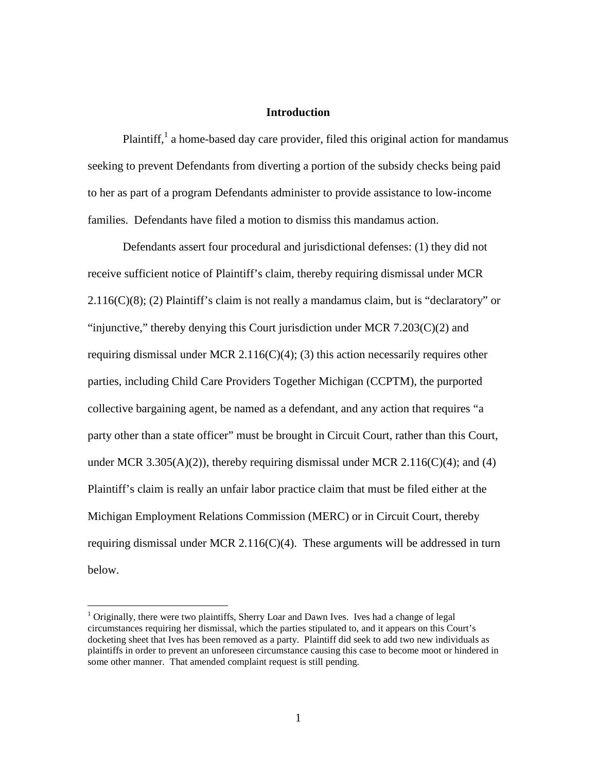### **Introduction**

Plaintiff,<sup>1</sup> a home-based day care provider, filed this original action for mandamus seeking to prevent Defendants from diverting a portion of the subsidy checks being paid to her as part of a program Defendants administer to provide assistance to low-income families. Defendants have filed a motion to dismiss this mandamus action.

Defendants assert four procedural and jurisdictional defenses: (1) they did not receive sufficient notice of Plaintiff's claim, thereby requiring dismissal under MCR  $2.116(C)(8)$ ; (2) Plaintiff's claim is not really a mandamus claim, but is "declaratory" or "injunctive," thereby denying this Court jurisdiction under MCR  $7.203(C)(2)$  and requiring dismissal under MCR 2.116( $C$ )(4); (3) this action necessarily requires other parties, including Child Care Providers Together Michigan (CCPTM), the purported collective bargaining agent, be named as a defendant, and any action that requires "a party other than a state officer" must be brought in Circuit Court, rather than this Court, under MCR 3.305(A)(2)), thereby requiring dismissal under MCR 2.116(C)(4); and (4) Plaintiff's claim is really an unfair labor practice claim that must be filed either at the Michigan Employment Relations Commission (MERC) or in Circuit Court, thereby requiring dismissal under MCR 2.116( $C$ )(4). These arguments will be addressed in turn below.

<u>.</u>

<sup>&</sup>lt;sup>1</sup> Originally, there were two plaintiffs, Sherry Loar and Dawn Ives. Ives had a change of legal circumstances requiring her dismissal, which the parties stipulated to, and it appears on this Court's docketing sheet that Ives has been removed as a party. Plaintiff did seek to add two new individuals as plaintiffs in order to prevent an unforeseen circumstance causing this case to become moot or hindered in some other manner. That amended complaint request is still pending.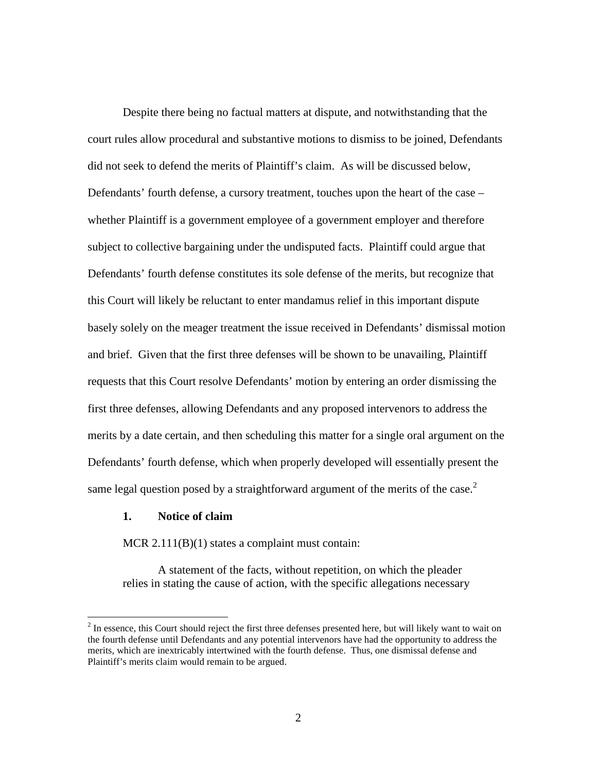Despite there being no factual matters at dispute, and notwithstanding that the court rules allow procedural and substantive motions to dismiss to be joined, Defendants did not seek to defend the merits of Plaintiff's claim. As will be discussed below, Defendants' fourth defense, a cursory treatment, touches upon the heart of the case – whether Plaintiff is a government employee of a government employer and therefore subject to collective bargaining under the undisputed facts. Plaintiff could argue that Defendants' fourth defense constitutes its sole defense of the merits, but recognize that this Court will likely be reluctant to enter mandamus relief in this important dispute basely solely on the meager treatment the issue received in Defendants' dismissal motion and brief. Given that the first three defenses will be shown to be unavailing, Plaintiff requests that this Court resolve Defendants' motion by entering an order dismissing the first three defenses, allowing Defendants and any proposed intervenors to address the merits by a date certain, and then scheduling this matter for a single oral argument on the Defendants' fourth defense, which when properly developed will essentially present the same legal question posed by a straightforward argument of the merits of the case.<sup>2</sup>

## **1. Notice of claim**

 $\overline{a}$ 

MCR 2.111(B)(1) states a complaint must contain:

A statement of the facts, without repetition, on which the pleader relies in stating the cause of action, with the specific allegations necessary

 $2<sup>2</sup>$  In essence, this Court should reject the first three defenses presented here, but will likely want to wait on the fourth defense until Defendants and any potential intervenors have had the opportunity to address the merits, which are inextricably intertwined with the fourth defense. Thus, one dismissal defense and Plaintiff's merits claim would remain to be argued.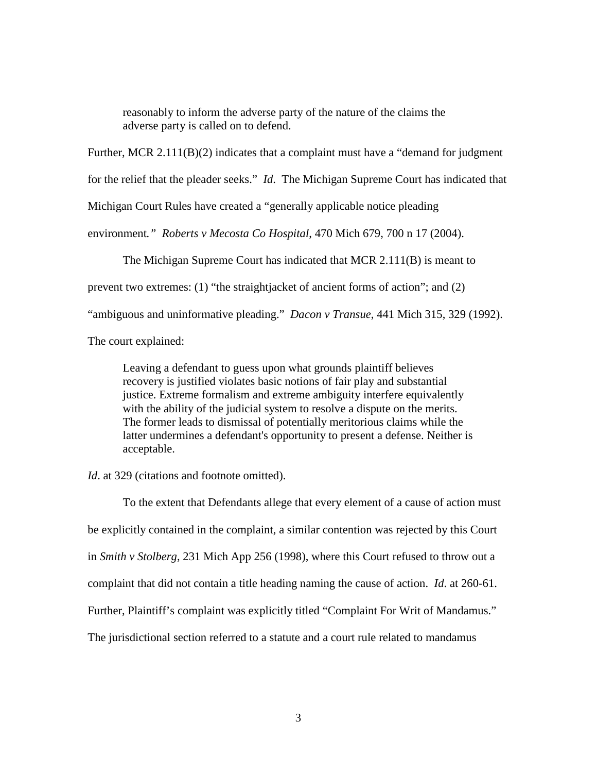reasonably to inform the adverse party of the nature of the claims the adverse party is called on to defend.

Further, MCR 2.111(B)(2) indicates that a complaint must have a "demand for judgment

for the relief that the pleader seeks." *Id*. The Michigan Supreme Court has indicated that

Michigan Court Rules have created a "generally applicable notice pleading

environment*." Roberts v Mecosta Co Hospital*, 470 Mich 679, 700 n 17 (2004).

The Michigan Supreme Court has indicated that MCR 2.111(B) is meant to

prevent two extremes: (1) "the straightjacket of ancient forms of action"; and (2)

"ambiguous and uninformative pleading." *Dacon v Transue*, 441 Mich 315, 329 (1992).

The court explained:

Leaving a defendant to guess upon what grounds plaintiff believes recovery is justified violates basic notions of fair play and substantial justice. Extreme formalism and extreme ambiguity interfere equivalently with the ability of the judicial system to resolve a dispute on the merits. The former leads to dismissal of potentially meritorious claims while the latter undermines a defendant's opportunity to present a defense. Neither is acceptable.

*Id*. at 329 (citations and footnote omitted).

 To the extent that Defendants allege that every element of a cause of action must be explicitly contained in the complaint, a similar contention was rejected by this Court in *Smith v Stolberg*, 231 Mich App 256 (1998), where this Court refused to throw out a complaint that did not contain a title heading naming the cause of action. *Id*. at 260-61. Further, Plaintiff's complaint was explicitly titled "Complaint For Writ of Mandamus." The jurisdictional section referred to a statute and a court rule related to mandamus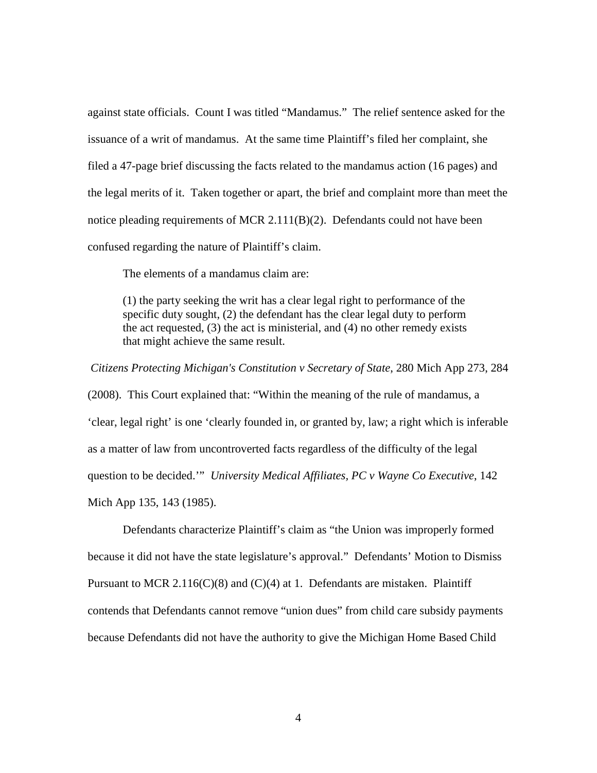against state officials. Count I was titled "Mandamus." The relief sentence asked for the issuance of a writ of mandamus. At the same time Plaintiff's filed her complaint, she filed a 47-page brief discussing the facts related to the mandamus action (16 pages) and the legal merits of it. Taken together or apart, the brief and complaint more than meet the notice pleading requirements of MCR 2.111(B)(2). Defendants could not have been confused regarding the nature of Plaintiff's claim.

The elements of a mandamus claim are:

(1) the party seeking the writ has a clear legal right to performance of the specific duty sought, (2) the defendant has the clear legal duty to perform the act requested, (3) the act is ministerial, and (4) no other remedy exists that might achieve the same result.

*Citizens Protecting Michigan's Constitution v Secretary of State*, 280 Mich App 273, 284 (2008). This Court explained that: "Within the meaning of the rule of mandamus, a 'clear, legal right' is one 'clearly founded in, or granted by, law; a right which is inferable as a matter of law from uncontroverted facts regardless of the difficulty of the legal question to be decided.'" *University Medical Affiliates, PC v Wayne Co Executive*, 142 Mich App 135, 143 (1985).

 Defendants characterize Plaintiff's claim as "the Union was improperly formed because it did not have the state legislature's approval." Defendants' Motion to Dismiss Pursuant to MCR 2.116(C)(8) and (C)(4) at 1. Defendants are mistaken. Plaintiff contends that Defendants cannot remove "union dues" from child care subsidy payments because Defendants did not have the authority to give the Michigan Home Based Child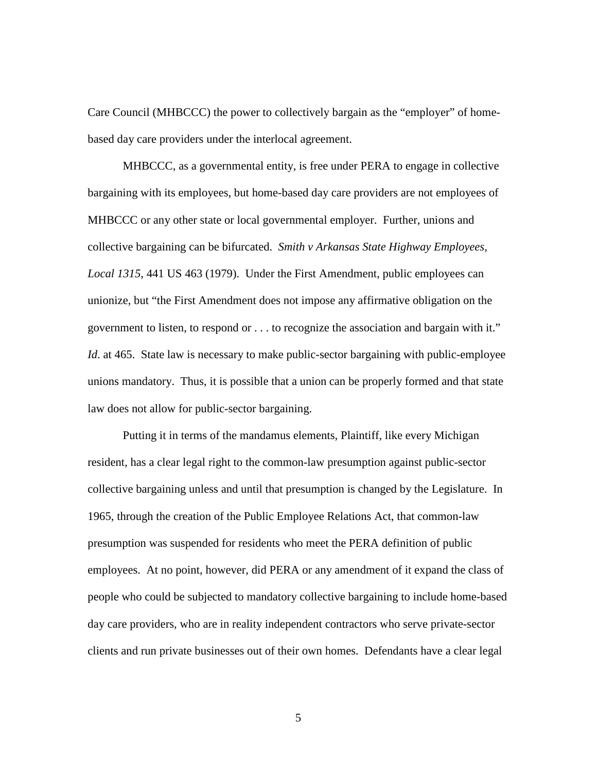Care Council (MHBCCC) the power to collectively bargain as the "employer" of homebased day care providers under the interlocal agreement.

MHBCCC, as a governmental entity, is free under PERA to engage in collective bargaining with its employees, but home-based day care providers are not employees of MHBCCC or any other state or local governmental employer. Further, unions and collective bargaining can be bifurcated. *Smith v Arkansas State Highway Employees, Local 1315*, 441 US 463 (1979). Under the First Amendment, public employees can unionize, but "the First Amendment does not impose any affirmative obligation on the government to listen, to respond or . . . to recognize the association and bargain with it." *Id*. at 465. State law is necessary to make public-sector bargaining with public-employee unions mandatory. Thus, it is possible that a union can be properly formed and that state law does not allow for public-sector bargaining.

 Putting it in terms of the mandamus elements, Plaintiff, like every Michigan resident, has a clear legal right to the common-law presumption against public-sector collective bargaining unless and until that presumption is changed by the Legislature. In 1965, through the creation of the Public Employee Relations Act, that common-law presumption was suspended for residents who meet the PERA definition of public employees. At no point, however, did PERA or any amendment of it expand the class of people who could be subjected to mandatory collective bargaining to include home-based day care providers, who are in reality independent contractors who serve private-sector clients and run private businesses out of their own homes. Defendants have a clear legal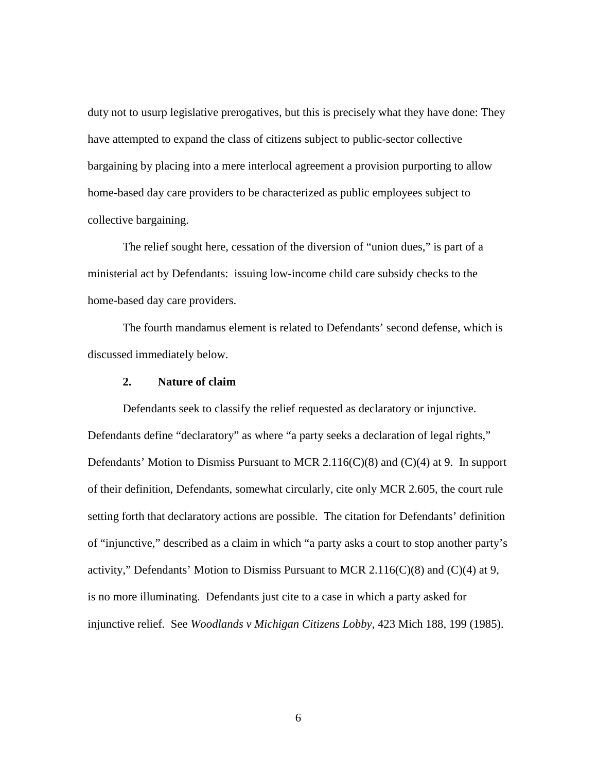duty not to usurp legislative prerogatives, but this is precisely what they have done: They have attempted to expand the class of citizens subject to public-sector collective bargaining by placing into a mere interlocal agreement a provision purporting to allow home-based day care providers to be characterized as public employees subject to collective bargaining.

The relief sought here, cessation of the diversion of "union dues," is part of a ministerial act by Defendants: issuing low-income child care subsidy checks to the home-based day care providers.

 The fourth mandamus element is related to Defendants' second defense, which is discussed immediately below.

### **2. Nature of claim**

 Defendants seek to classify the relief requested as declaratory or injunctive. Defendants define "declaratory" as where "a party seeks a declaration of legal rights," Defendants' Motion to Dismiss Pursuant to MCR 2.116(C)(8) and (C)(4) at 9. In support of their definition, Defendants, somewhat circularly, cite only MCR 2.605, the court rule setting forth that declaratory actions are possible. The citation for Defendants' definition of "injunctive," described as a claim in which "a party asks a court to stop another party's activity," Defendants' Motion to Dismiss Pursuant to MCR 2.116( $C(8)$ ) and ( $C(4)$ ) at 9, is no more illuminating. Defendants just cite to a case in which a party asked for injunctive relief. See *Woodlands v Michigan Citizens Lobby*, 423 Mich 188, 199 (1985).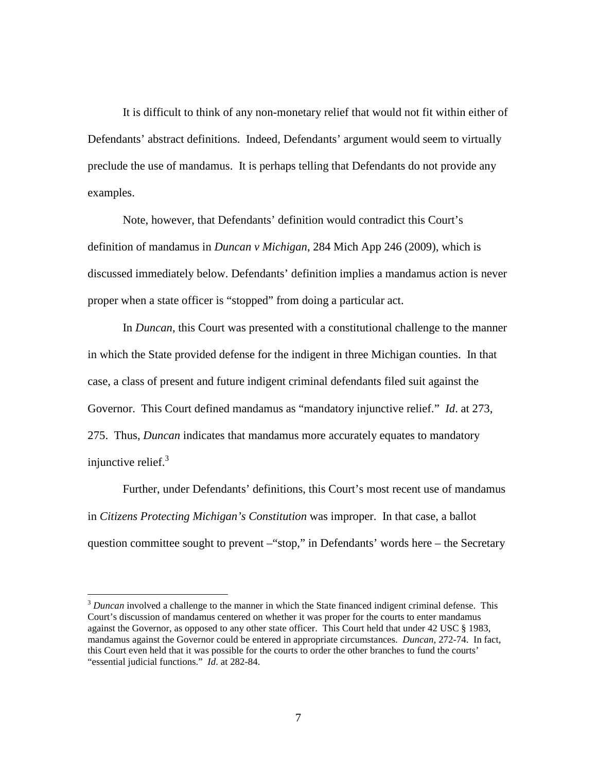It is difficult to think of any non-monetary relief that would not fit within either of Defendants' abstract definitions. Indeed, Defendants' argument would seem to virtually preclude the use of mandamus. It is perhaps telling that Defendants do not provide any examples.

Note, however, that Defendants' definition would contradict this Court's definition of mandamus in *Duncan v Michigan*, 284 Mich App 246 (2009), which is discussed immediately below. Defendants' definition implies a mandamus action is never proper when a state officer is "stopped" from doing a particular act.

In *Duncan*, this Court was presented with a constitutional challenge to the manner in which the State provided defense for the indigent in three Michigan counties. In that case, a class of present and future indigent criminal defendants filed suit against the Governor. This Court defined mandamus as "mandatory injunctive relief." *Id*. at 273, 275. Thus, *Duncan* indicates that mandamus more accurately equates to mandatory injunctive relief. $3$ 

Further, under Defendants' definitions, this Court's most recent use of mandamus in *Citizens Protecting Michigan's Constitution* was improper. In that case, a ballot question committee sought to prevent –"stop," in Defendants' words here – the Secretary

-

<sup>&</sup>lt;sup>3</sup> Duncan involved a challenge to the manner in which the State financed indigent criminal defense. This Court's discussion of mandamus centered on whether it was proper for the courts to enter mandamus against the Governor, as opposed to any other state officer. This Court held that under 42 USC § 1983, mandamus against the Governor could be entered in appropriate circumstances. *Duncan*, 272-74. In fact, this Court even held that it was possible for the courts to order the other branches to fund the courts' "essential judicial functions." *Id*. at 282-84.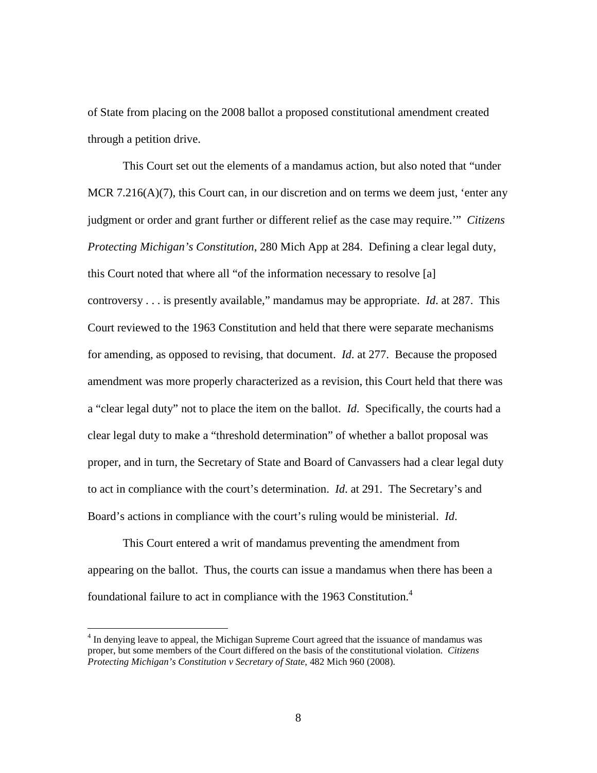of State from placing on the 2008 ballot a proposed constitutional amendment created through a petition drive.

This Court set out the elements of a mandamus action, but also noted that "under MCR 7.216(A)(7), this Court can, in our discretion and on terms we deem just, 'enter any judgment or order and grant further or different relief as the case may require.'" *Citizens Protecting Michigan's Constitution*, 280 Mich App at 284. Defining a clear legal duty, this Court noted that where all "of the information necessary to resolve [a] controversy . . . is presently available," mandamus may be appropriate. *Id*. at 287. This Court reviewed to the 1963 Constitution and held that there were separate mechanisms for amending, as opposed to revising, that document. *Id*. at 277. Because the proposed amendment was more properly characterized as a revision, this Court held that there was a "clear legal duty" not to place the item on the ballot. *Id*. Specifically, the courts had a clear legal duty to make a "threshold determination" of whether a ballot proposal was proper, and in turn, the Secretary of State and Board of Canvassers had a clear legal duty to act in compliance with the court's determination. *Id*. at 291. The Secretary's and Board's actions in compliance with the court's ruling would be ministerial. *Id*.

This Court entered a writ of mandamus preventing the amendment from appearing on the ballot. Thus, the courts can issue a mandamus when there has been a foundational failure to act in compliance with the 1963 Constitution.<sup>4</sup>

<u>.</u>

<sup>&</sup>lt;sup>4</sup> In denying leave to appeal, the Michigan Supreme Court agreed that the issuance of mandamus was proper, but some members of the Court differed on the basis of the constitutional violation. *Citizens Protecting Michigan's Constitution v Secretary of State*, 482 Mich 960 (2008).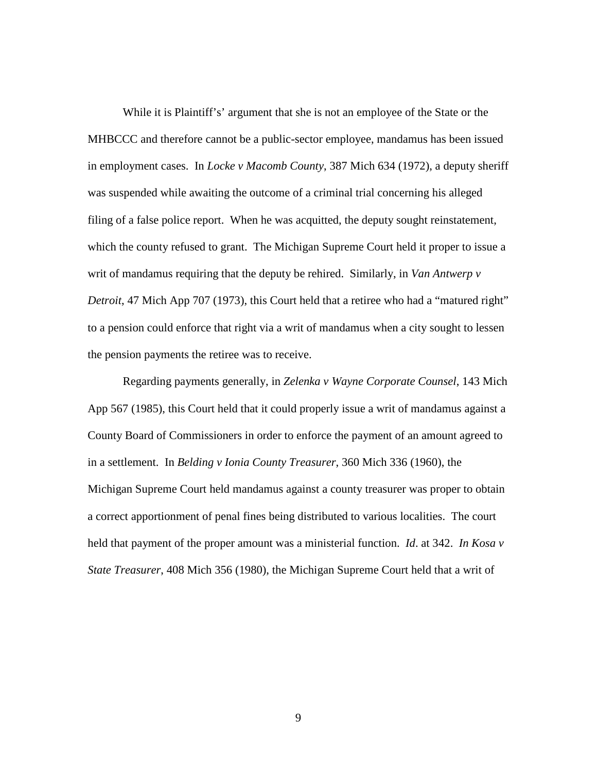While it is Plaintiff's' argument that she is not an employee of the State or the MHBCCC and therefore cannot be a public-sector employee, mandamus has been issued in employment cases. In *Locke v Macomb County*, 387 Mich 634 (1972), a deputy sheriff was suspended while awaiting the outcome of a criminal trial concerning his alleged filing of a false police report. When he was acquitted, the deputy sought reinstatement, which the county refused to grant. The Michigan Supreme Court held it proper to issue a writ of mandamus requiring that the deputy be rehired. Similarly, in *Van Antwerp v Detroit*, 47 Mich App 707 (1973), this Court held that a retiree who had a "matured right" to a pension could enforce that right via a writ of mandamus when a city sought to lessen the pension payments the retiree was to receive.

Regarding payments generally, in *Zelenka v Wayne Corporate Counsel*, 143 Mich App 567 (1985), this Court held that it could properly issue a writ of mandamus against a County Board of Commissioners in order to enforce the payment of an amount agreed to in a settlement. In *Belding v Ionia County Treasurer*, 360 Mich 336 (1960), the Michigan Supreme Court held mandamus against a county treasurer was proper to obtain a correct apportionment of penal fines being distributed to various localities. The court held that payment of the proper amount was a ministerial function. *Id*. at 342. *In Kosa v State Treasurer*, 408 Mich 356 (1980), the Michigan Supreme Court held that a writ of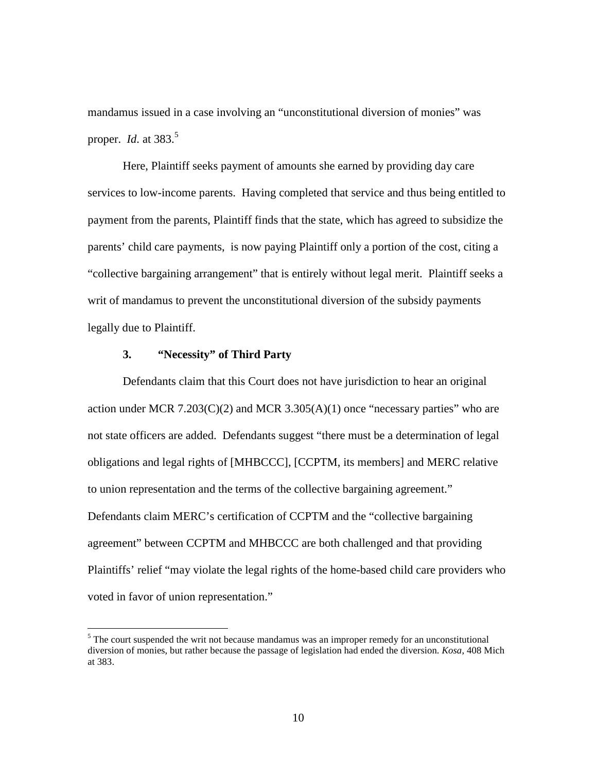mandamus issued in a case involving an "unconstitutional diversion of monies" was proper. *Id*. at 383.<sup>5</sup>

Here, Plaintiff seeks payment of amounts she earned by providing day care services to low-income parents. Having completed that service and thus being entitled to payment from the parents, Plaintiff finds that the state, which has agreed to subsidize the parents' child care payments, is now paying Plaintiff only a portion of the cost, citing a "collective bargaining arrangement" that is entirely without legal merit. Plaintiff seeks a writ of mandamus to prevent the unconstitutional diversion of the subsidy payments legally due to Plaintiff.

## **3. "Necessity" of Third Party**

<u>.</u>

 Defendants claim that this Court does not have jurisdiction to hear an original action under MCR 7.203(C)(2) and MCR 3.305(A)(1) once "necessary parties" who are not state officers are added. Defendants suggest "there must be a determination of legal obligations and legal rights of [MHBCCC], [CCPTM, its members] and MERC relative to union representation and the terms of the collective bargaining agreement." Defendants claim MERC's certification of CCPTM and the "collective bargaining agreement" between CCPTM and MHBCCC are both challenged and that providing Plaintiffs' relief "may violate the legal rights of the home-based child care providers who voted in favor of union representation."

 $<sup>5</sup>$  The court suspended the writ not because mandamus was an improper remedy for an unconstitutional</sup> diversion of monies, but rather because the passage of legislation had ended the diversion. *Kosa*, 408 Mich at 383.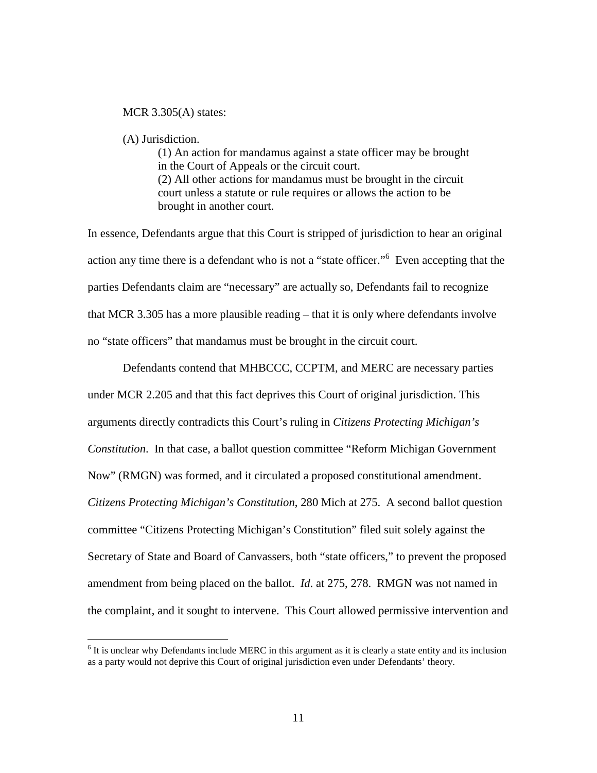#### MCR 3.305(A) states:

#### (A) Jurisdiction.

 $\overline{a}$ 

(1) An action for mandamus against a state officer may be brought in the Court of Appeals or the circuit court. (2) All other actions for mandamus must be brought in the circuit court unless a statute or rule requires or allows the action to be brought in another court.

In essence, Defendants argue that this Court is stripped of jurisdiction to hear an original action any time there is a defendant who is not a "state officer."<sup>6</sup> Even accepting that the parties Defendants claim are "necessary" are actually so, Defendants fail to recognize that MCR 3.305 has a more plausible reading – that it is only where defendants involve no "state officers" that mandamus must be brought in the circuit court.

 Defendants contend that MHBCCC, CCPTM, and MERC are necessary parties under MCR 2.205 and that this fact deprives this Court of original jurisdiction. This arguments directly contradicts this Court's ruling in *Citizens Protecting Michigan's Constitution*. In that case, a ballot question committee "Reform Michigan Government Now" (RMGN) was formed, and it circulated a proposed constitutional amendment. *Citizens Protecting Michigan's Constitution*, 280 Mich at 275. A second ballot question committee "Citizens Protecting Michigan's Constitution" filed suit solely against the Secretary of State and Board of Canvassers, both "state officers," to prevent the proposed amendment from being placed on the ballot. *Id*. at 275, 278. RMGN was not named in the complaint, and it sought to intervene. This Court allowed permissive intervention and

 $<sup>6</sup>$  It is unclear why Defendants include MERC in this argument as it is clearly a state entity and its inclusion</sup> as a party would not deprive this Court of original jurisdiction even under Defendants' theory.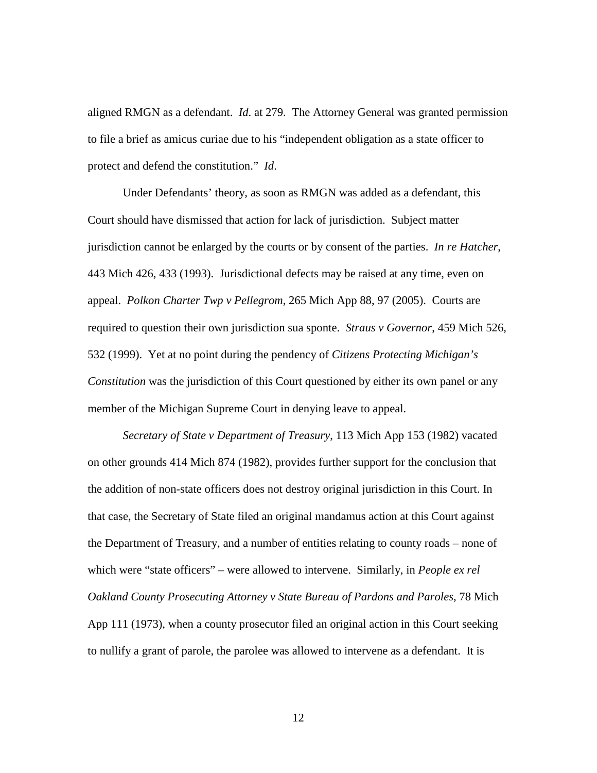aligned RMGN as a defendant. *Id*. at 279. The Attorney General was granted permission to file a brief as amicus curiae due to his "independent obligation as a state officer to protect and defend the constitution." *Id*.

 Under Defendants' theory, as soon as RMGN was added as a defendant, this Court should have dismissed that action for lack of jurisdiction. Subject matter jurisdiction cannot be enlarged by the courts or by consent of the parties. *In re Hatcher*, 443 Mich 426, 433 (1993). Jurisdictional defects may be raised at any time, even on appeal. *Polkon Charter Twp v Pellegrom*, 265 Mich App 88, 97 (2005). Courts are required to question their own jurisdiction sua sponte. *Straus v Governor*, 459 Mich 526, 532 (1999). Yet at no point during the pendency of *Citizens Protecting Michigan's Constitution* was the jurisdiction of this Court questioned by either its own panel or any member of the Michigan Supreme Court in denying leave to appeal.

*Secretary of State v Department of Treasury*, 113 Mich App 153 (1982) vacated on other grounds 414 Mich 874 (1982), provides further support for the conclusion that the addition of non-state officers does not destroy original jurisdiction in this Court. In that case, the Secretary of State filed an original mandamus action at this Court against the Department of Treasury, and a number of entities relating to county roads – none of which were "state officers" – were allowed to intervene. Similarly, in *People ex rel Oakland County Prosecuting Attorney v State Bureau of Pardons and Paroles*, 78 Mich App 111 (1973), when a county prosecutor filed an original action in this Court seeking to nullify a grant of parole, the parolee was allowed to intervene as a defendant. It is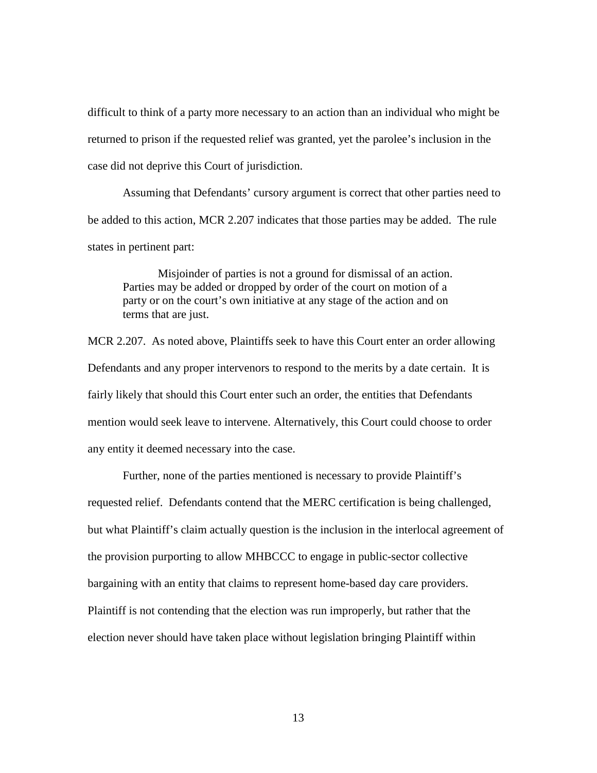difficult to think of a party more necessary to an action than an individual who might be returned to prison if the requested relief was granted, yet the parolee's inclusion in the case did not deprive this Court of jurisdiction.

 Assuming that Defendants' cursory argument is correct that other parties need to be added to this action, MCR 2.207 indicates that those parties may be added. The rule states in pertinent part:

 Misjoinder of parties is not a ground for dismissal of an action. Parties may be added or dropped by order of the court on motion of a party or on the court's own initiative at any stage of the action and on terms that are just.

MCR 2.207. As noted above, Plaintiffs seek to have this Court enter an order allowing Defendants and any proper intervenors to respond to the merits by a date certain. It is fairly likely that should this Court enter such an order, the entities that Defendants mention would seek leave to intervene. Alternatively, this Court could choose to order any entity it deemed necessary into the case.

 Further, none of the parties mentioned is necessary to provide Plaintiff's requested relief. Defendants contend that the MERC certification is being challenged, but what Plaintiff's claim actually question is the inclusion in the interlocal agreement of the provision purporting to allow MHBCCC to engage in public-sector collective bargaining with an entity that claims to represent home-based day care providers. Plaintiff is not contending that the election was run improperly, but rather that the election never should have taken place without legislation bringing Plaintiff within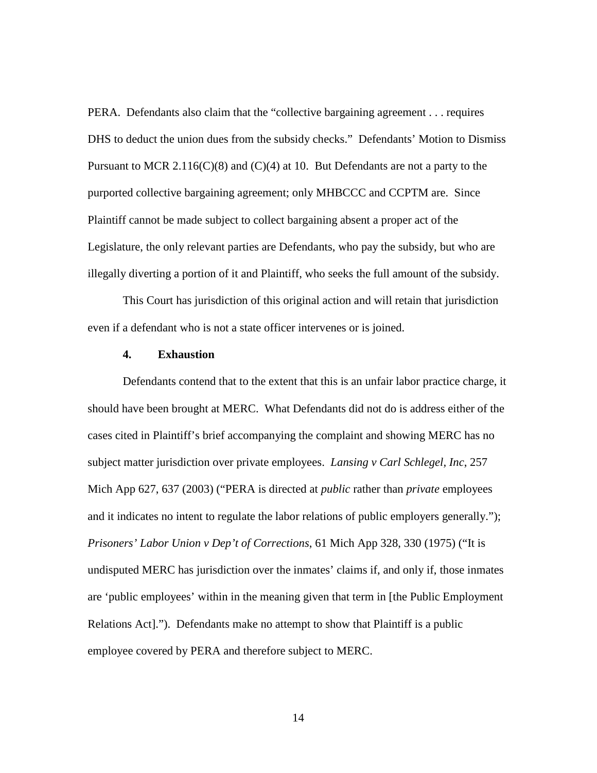PERA. Defendants also claim that the "collective bargaining agreement . . . requires DHS to deduct the union dues from the subsidy checks." Defendants' Motion to Dismiss Pursuant to MCR 2.116(C)(8) and (C)(4) at 10. But Defendants are not a party to the purported collective bargaining agreement; only MHBCCC and CCPTM are. Since Plaintiff cannot be made subject to collect bargaining absent a proper act of the Legislature, the only relevant parties are Defendants, who pay the subsidy, but who are illegally diverting a portion of it and Plaintiff, who seeks the full amount of the subsidy.

 This Court has jurisdiction of this original action and will retain that jurisdiction even if a defendant who is not a state officer intervenes or is joined.

#### **4. Exhaustion**

Defendants contend that to the extent that this is an unfair labor practice charge, it should have been brought at MERC. What Defendants did not do is address either of the cases cited in Plaintiff's brief accompanying the complaint and showing MERC has no subject matter jurisdiction over private employees. *Lansing v Carl Schlegel, Inc*, 257 Mich App 627, 637 (2003) ("PERA is directed at *public* rather than *private* employees and it indicates no intent to regulate the labor relations of public employers generally."); *Prisoners' Labor Union v Dep't of Corrections*, 61 Mich App 328, 330 (1975) ("It is undisputed MERC has jurisdiction over the inmates' claims if, and only if, those inmates are 'public employees' within in the meaning given that term in [the Public Employment Relations Act]."). Defendants make no attempt to show that Plaintiff is a public employee covered by PERA and therefore subject to MERC.